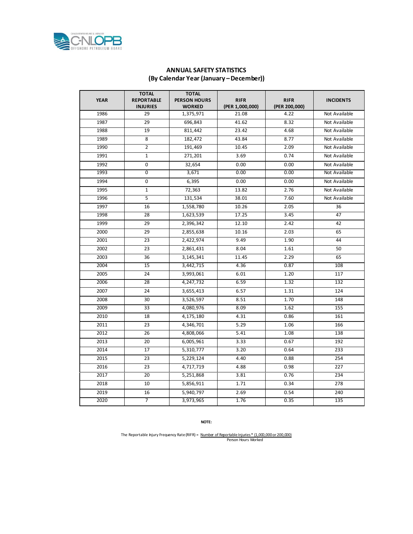

## **ANNUAL SAFETY STATISTICS (By Calendar Year (January –December))**

| <b>YEAR</b> | <b>TOTAL</b><br><b>REPORTABLE</b><br><b>INJURIES</b> | <b>TOTAL</b><br><b>PERSON HOURS</b><br><b>WORKED</b> | <b>RIFR</b><br>(PER 1,000,000) | <b>RIFR</b><br>(PER 200,000) | <b>INCIDENTS</b> |
|-------------|------------------------------------------------------|------------------------------------------------------|--------------------------------|------------------------------|------------------|
| 1986        | 29                                                   | 1,375,971                                            | 21.08                          | 4.22                         | Not Available    |
| 1987        | 29                                                   | 696,843                                              | 41.62                          | 8.32                         | Not Available    |
| 1988        | 19                                                   | 811,442                                              | 23.42                          | 4.68                         | Not Available    |
| 1989        | 8                                                    | 182,472                                              | 43.84                          | 8.77                         | Not Available    |
| 1990        | 2                                                    | 191,469                                              | 10.45                          | 2.09                         | Not Available    |
| 1991        | $\mathbf{1}$                                         | 271,201                                              | 3.69                           | 0.74                         | Not Available    |
| 1992        | $\mathbf 0$                                          | 32,654                                               | 0.00                           | 0.00                         | Not Available    |
| 1993        | 0                                                    | 3,671                                                | 0.00                           | 0.00                         | Not Available    |
| 1994        | 0                                                    | 6,395                                                | 0.00                           | 0.00                         | Not Available    |
| 1995        | $\mathbf{1}$                                         | 72,363                                               | 13.82                          | 2.76                         | Not Available    |
| 1996        | $\overline{5}$                                       | 131,534                                              | 38.01                          | 7.60                         | Not Available    |
| 1997        | 16                                                   | 1,558,780                                            | 10.26                          | 2.05                         | 36               |
| 1998        | 28                                                   | 1,623,539                                            | 17.25                          | 3.45                         | 47               |
| 1999        | 29                                                   | 2,396,342                                            | 12.10                          | 2.42                         | 42               |
| 2000        | 29                                                   | 2,855,638                                            | 10.16                          | 2.03                         | 65               |
| 2001        | 23                                                   | 2,422,974                                            | 9.49                           | 1.90                         | 44               |
| 2002        | 23                                                   | 2,861,431                                            | 8.04                           | 1.61                         | 50               |
| 2003        | 36                                                   | 3,145,341                                            | 11.45                          | 2.29                         | 65               |
| 2004        | 15                                                   | 3,442,715                                            | 4.36                           | 0.87                         | 108              |
| 2005        | 24                                                   | 3,993,061                                            | 6.01                           | 1.20                         | 117              |
| 2006        | 28                                                   | 4,247,732                                            | 6.59                           | 1.32                         | 132              |
| 2007        | 24                                                   | 3,655,413                                            | 6.57                           | 1.31                         | 124              |
| 2008        | 30                                                   | 3,526,597                                            | 8.51                           | 1.70                         | 148              |
| 2009        | 33                                                   | 4,080,976                                            | 8.09                           | 1.62                         | 155              |
| 2010        | 18                                                   | 4,175,180                                            | 4.31                           | 0.86                         | 161              |
| 2011        | 23                                                   | 4,346,701                                            | 5.29                           | 1.06                         | 166              |
| 2012        | 26                                                   | 4,808,066                                            | 5.41                           | 1.08                         | 138              |
| 2013        | 20                                                   | 6,005,961                                            | 3.33                           | 0.67                         | 192              |
| 2014        | 17                                                   | 5,310,777                                            | 3.20                           | 0.64                         | 233              |
| 2015        | 23                                                   | 5,229,124                                            | 4.40                           | 0.88                         | 254              |
| 2016        | 23                                                   | 4,717,719                                            | 4.88                           | 0.98                         | 227              |
| 2017        | $\overline{20}$                                      | 5,251,868                                            | 3.81                           | 0.76                         | 234              |
| 2018        | 10                                                   | 5,856,911                                            | 1.71                           | 0.34                         | 278              |
| 2019        | 16                                                   | 5,940,797                                            | 2.69                           | 0.54                         | 240              |
| 2020        | $\overline{7}$                                       | 3,973,965                                            | 1.76                           | 0.35                         | 135              |

**NOTE:**

The Reportable Injury Frequency Rate (RIFR) = <u>Number of Reportable Injuries \* (1,000,000 or 200,000)</u><br>Person Hours Worked